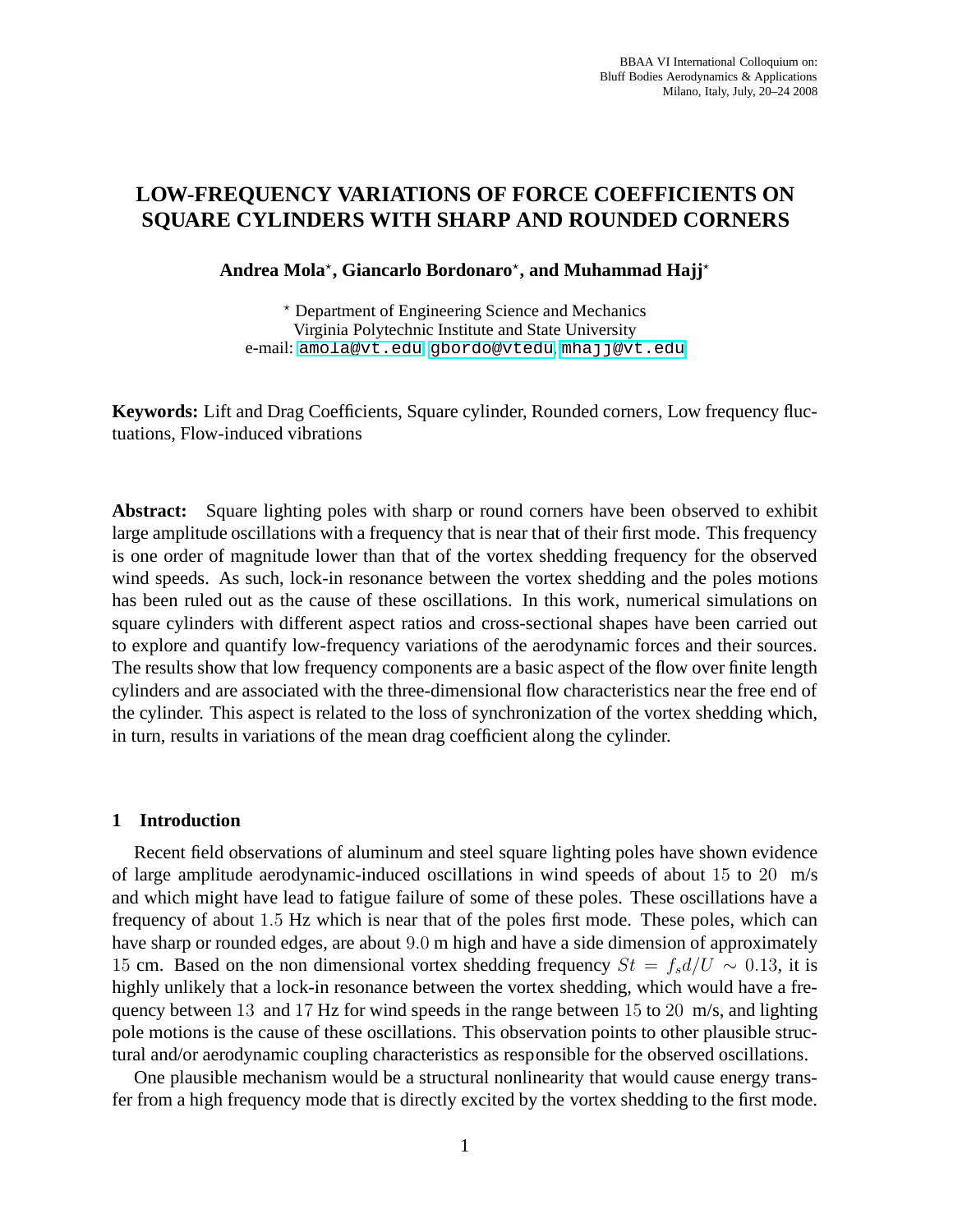## **LOW-FREQUENCY VARIATIONS OF FORCE COEFFICIENTS ON SQUARE CYLINDERS WITH SHARP AND ROUNDED CORNERS**

# **Andrea Mola**<sup>⋆</sup> **, Giancarlo Bordonaro**<sup>⋆</sup> **, and Muhammad Hajj**<sup>⋆</sup>

<sup>⋆</sup> Department of Engineering Science and Mechanics Virginia Polytechnic Institute and State University e-mail: <amola@vt.edu>, <gbordo@vtedu>, <mhajj@vt.edu>

**Keywords:** Lift and Drag Coefficients, Square cylinder, Rounded corners, Low frequency fluctuations, Flow-induced vibrations

**Abstract:** Square lighting poles with sharp or round corners have been observed to exhibit large amplitude oscillations with a frequency that is near that of their first mode. This frequency is one order of magnitude lower than that of the vortex shedding frequency for the observed wind speeds. As such, lock-in resonance between the vortex shedding and the poles motions has been ruled out as the cause of these oscillations. In this work, numerical simulations on square cylinders with different aspect ratios and cross-sectional shapes have been carried out to explore and quantify low-frequency variations of the aerodynamic forces and their sources. The results show that low frequency components are a basic aspect of the flow over finite length cylinders and are associated with the three-dimensional flow characteristics near the free end of the cylinder. This aspect is related to the loss of synchronization of the vortex shedding which, in turn, results in variations of the mean drag coefficient along the cylinder.

### **1 Introduction**

Recent field observations of aluminum and steel square lighting poles have shown evidence of large amplitude aerodynamic-induced oscillations in wind speeds of about 15 to 20 m/s and which might have lead to fatigue failure of some of these poles. These oscillations have a frequency of about 1.5 Hz which is near that of the poles first mode. These poles, which can have sharp or rounded edges, are about 9.0 m high and have a side dimension of approximately 15 cm. Based on the non dimensional vortex shedding frequency  $St = f_s d/U \sim 0.13$ , it is highly unlikely that a lock-in resonance between the vortex shedding, which would have a frequency between 13 and 17 Hz for wind speeds in the range between 15 to 20 m/s, and lighting pole motions is the cause of these oscillations. This observation points to other plausible structural and/or aerodynamic coupling characteristics as responsible for the observed oscillations.

One plausible mechanism would be a structural nonlinearity that would cause energy transfer from a high frequency mode that is directly excited by the vortex shedding to the first mode.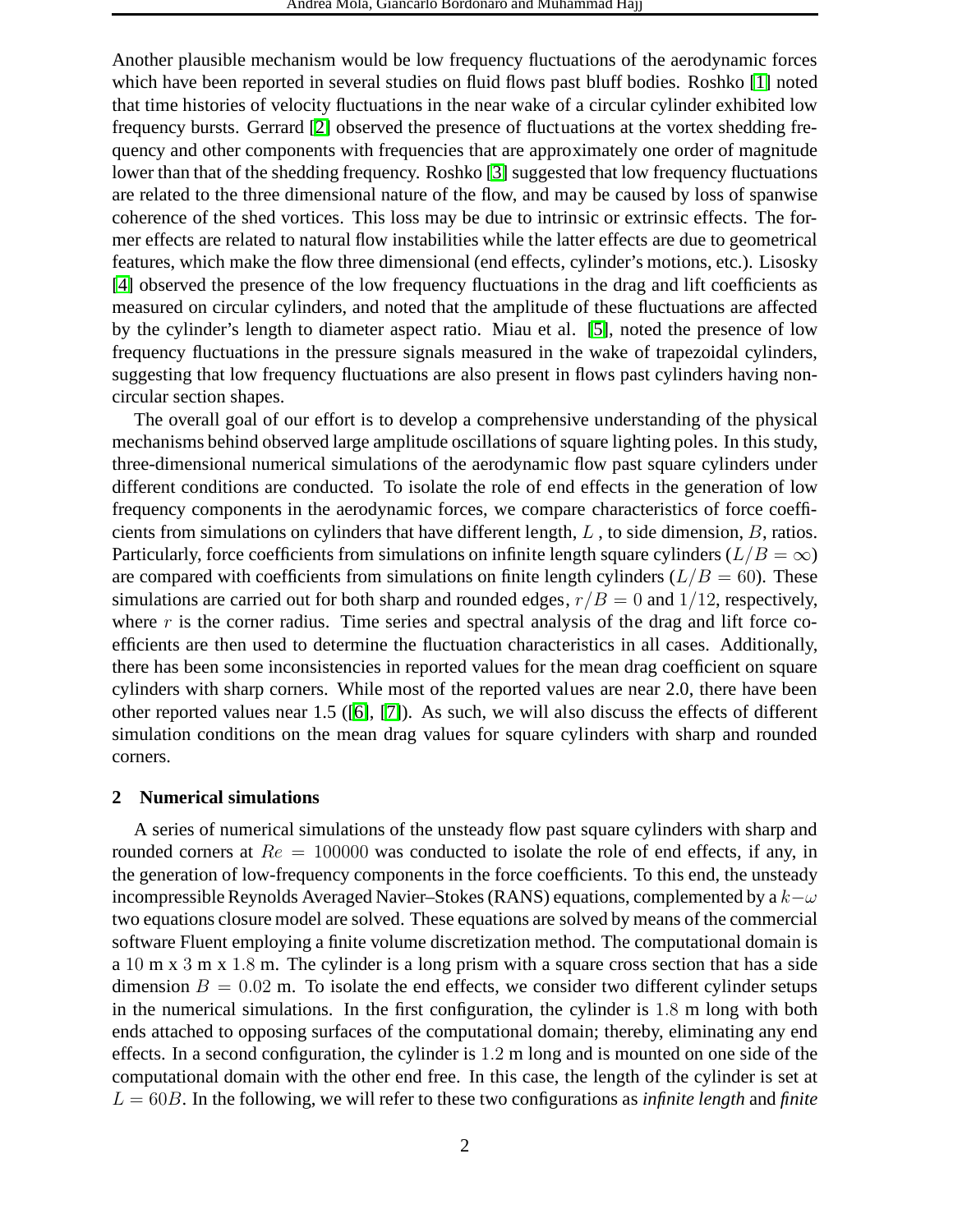Another plausible mechanism would be low frequency fluctuations of the aerodynamic forces which have been reported in several studies on fluid flows past bluff bodies. Roshko [\[1\]](#page-7-0) noted that time histories of velocity fluctuations in the near wake of a circular cylinder exhibited low frequency bursts. Gerrard [\[2\]](#page-7-1) observed the presence of fluctuations at the vortex shedding frequency and other components with frequencies that are approximately one order of magnitude lower than that of the shedding frequency. Roshko [\[3\]](#page-7-2) suggested that low frequency fluctuations are related to the three dimensional nature of the flow, and may be caused by loss of spanwise coherence of the shed vortices. This loss may be due to intrinsic or extrinsic effects. The former effects are related to natural flow instabilities while the latter effects are due to geometrical features, which make the flow three dimensional (end effects, cylinder's motions, etc.). Lisosky [\[4\]](#page-7-3) observed the presence of the low frequency fluctuations in the drag and lift coefficients as measured on circular cylinders, and noted that the amplitude of these fluctuations are affected by the cylinder's length to diameter aspect ratio. Miau et al. [\[5\]](#page-8-0), noted the presence of low frequency fluctuations in the pressure signals measured in the wake of trapezoidal cylinders, suggesting that low frequency fluctuations are also present in flows past cylinders having noncircular section shapes.

The overall goal of our effort is to develop a comprehensive understanding of the physical mechanisms behind observed large amplitude oscillations of square lighting poles. In this study, three-dimensional numerical simulations of the aerodynamic flow past square cylinders under different conditions are conducted. To isolate the role of end effects in the generation of low frequency components in the aerodynamic forces, we compare characteristics of force coefficients from simulations on cylinders that have different length,  $L$ , to side dimension,  $B$ , ratios. Particularly, force coefficients from simulations on infinite length square cylinders ( $L/B = \infty$ ) are compared with coefficients from simulations on finite length cylinders  $(L/B = 60)$ . These simulations are carried out for both sharp and rounded edges,  $r/B = 0$  and  $1/12$ , respectively, where  $r$  is the corner radius. Time series and spectral analysis of the drag and lift force coefficients are then used to determine the fluctuation characteristics in all cases. Additionally, there has been some inconsistencies in reported values for the mean drag coefficient on square cylinders with sharp corners. While most of the reported values are near 2.0, there have been other reported values near 1.5 ([\[6\]](#page-8-1), [\[7\]](#page-8-2)). As such, we will also discuss the effects of different simulation conditions on the mean drag values for square cylinders with sharp and rounded corners.

## **2 Numerical simulations**

A series of numerical simulations of the unsteady flow past square cylinders with sharp and rounded corners at  $Re = 100000$  was conducted to isolate the role of end effects, if any, in the generation of low-frequency components in the force coefficients. To this end, the unsteady incompressible Reynolds Averaged Navier–Stokes (RANS) equations, complemented by a  $k-\omega$ two equations closure model are solved. These equations are solved by means of the commercial software Fluent employing a finite volume discretization method. The computational domain is a 10 m x 3 m x 1.8 m. The cylinder is a long prism with a square cross section that has a side dimension  $B = 0.02$  m. To isolate the end effects, we consider two different cylinder setups in the numerical simulations. In the first configuration, the cylinder is 1.8 m long with both ends attached to opposing surfaces of the computational domain; thereby, eliminating any end effects. In a second configuration, the cylinder is 1.2 m long and is mounted on one side of the computational domain with the other end free. In this case, the length of the cylinder is set at  $L = 60B$ . In the following, we will refer to these two configurations as *infinite length* and *finite*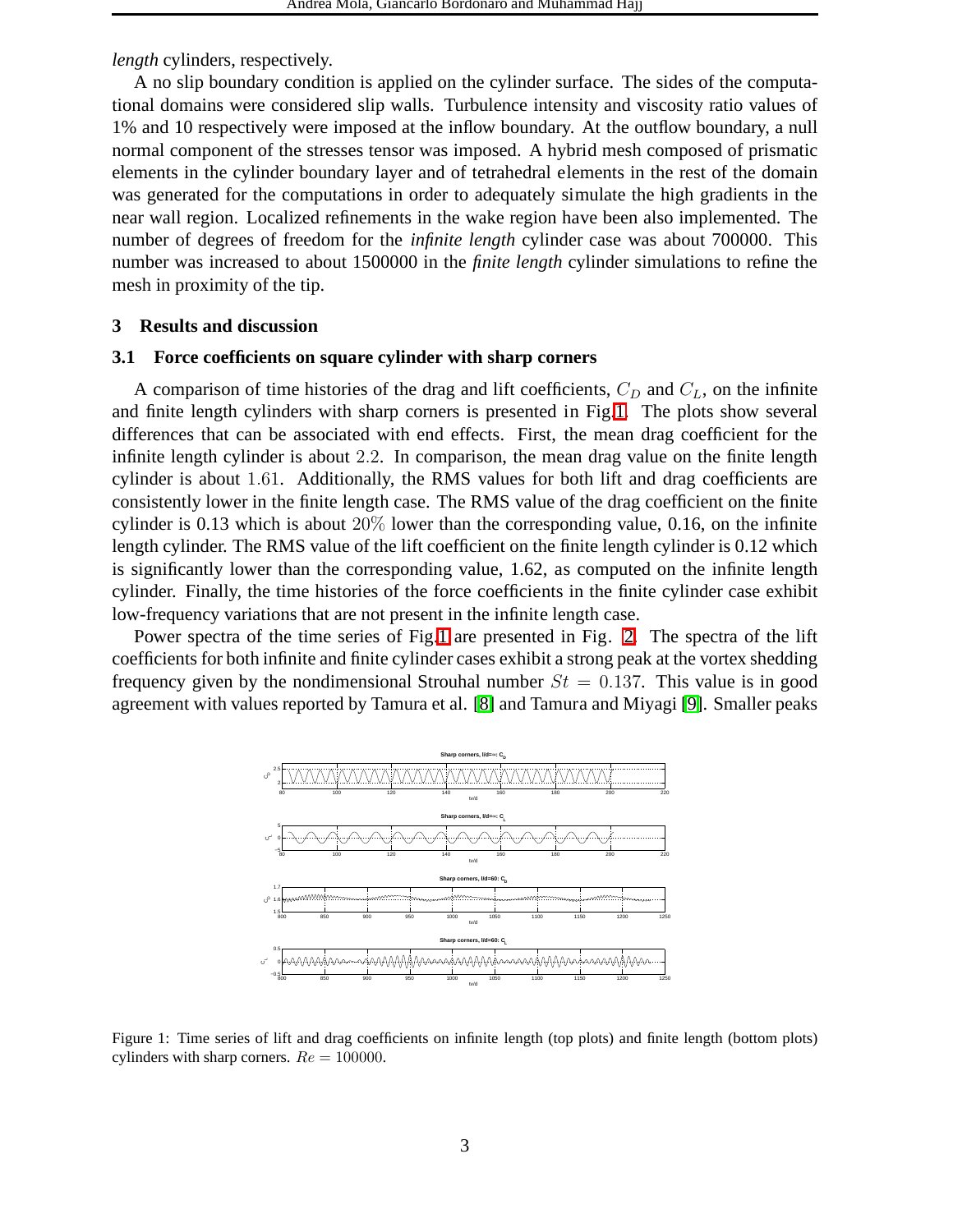*length* cylinders, respectively.

A no slip boundary condition is applied on the cylinder surface. The sides of the computational domains were considered slip walls. Turbulence intensity and viscosity ratio values of 1% and 10 respectively were imposed at the inflow boundary. At the outflow boundary, a null normal component of the stresses tensor was imposed. A hybrid mesh composed of prismatic elements in the cylinder boundary layer and of tetrahedral elements in the rest of the domain was generated for the computations in order to adequately simulate the high gradients in the near wall region. Localized refinements in the wake region have been also implemented. The number of degrees of freedom for the *infinite length* cylinder case was about 700000. This number was increased to about 1500000 in the *finite length* cylinder simulations to refine the mesh in proximity of the tip.

### **3 Results and discussion**

### **3.1 Force coefficients on square cylinder with sharp corners**

A comparison of time histories of the drag and lift coefficients,  $C_D$  and  $C_L$ , on the infinite and finite length cylinders with sharp corners is presented in Fig[.1.](#page-2-0) The plots show several differences that can be associated with end effects. First, the mean drag coefficient for the infinite length cylinder is about 2.2. In comparison, the mean drag value on the finite length cylinder is about 1.61. Additionally, the RMS values for both lift and drag coefficients are consistently lower in the finite length case. The RMS value of the drag coefficient on the finite cylinder is 0.13 which is about  $20\%$  lower than the corresponding value, 0.16, on the infinite length cylinder. The RMS value of the lift coefficient on the finite length cylinder is 0.12 which is significantly lower than the corresponding value, 1.62, as computed on the infinite length cylinder. Finally, the time histories of the force coefficients in the finite cylinder case exhibit low-frequency variations that are not present in the infinite length case.

Power spectra of the time series of Fig[.1](#page-2-0) are presented in Fig. [2.](#page-3-0) The spectra of the lift coefficients for both infinite and finite cylinder cases exhibit a strong peak at the vortex shedding frequency given by the nondimensional Strouhal number  $St = 0.137$ . This value is in good agreement with values reported by Tamura et al. [\[8\]](#page-8-3) and Tamura and Miyagi [\[9\]](#page-8-4). Smaller peaks



<span id="page-2-0"></span>Figure 1: Time series of lift and drag coefficients on infinite length (top plots) and finite length (bottom plots) cylinders with sharp corners.  $Re = 100000$ .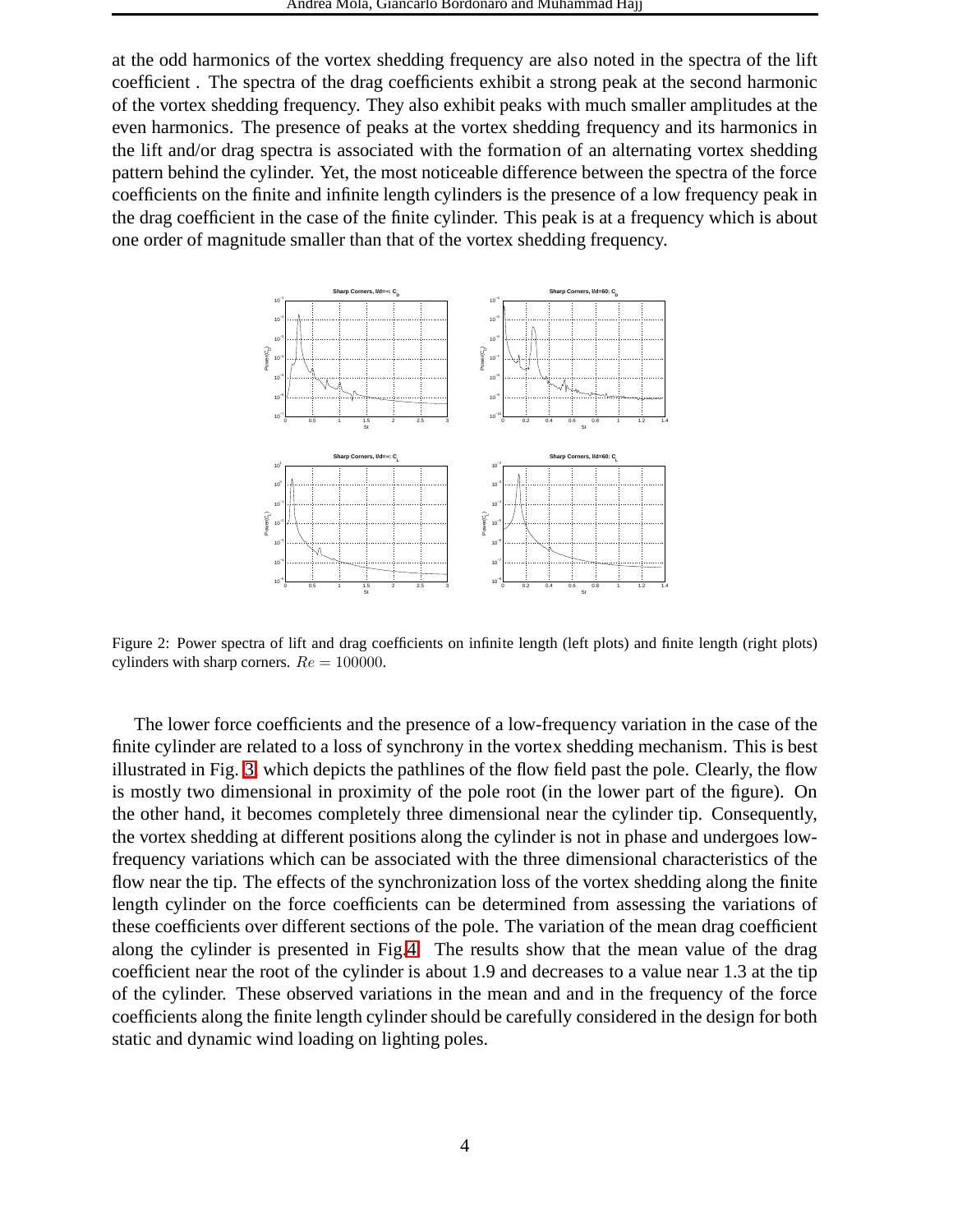at the odd harmonics of the vortex shedding frequency are also noted in the spectra of the lift coefficient . The spectra of the drag coefficients exhibit a strong peak at the second harmonic of the vortex shedding frequency. They also exhibit peaks with much smaller amplitudes at the even harmonics. The presence of peaks at the vortex shedding frequency and its harmonics in the lift and/or drag spectra is associated with the formation of an alternating vortex shedding pattern behind the cylinder. Yet, the most noticeable difference between the spectra of the force coefficients on the finite and infinite length cylinders is the presence of a low frequency peak in the drag coefficient in the case of the finite cylinder. This peak is at a frequency which is about one order of magnitude smaller than that of the vortex shedding frequency.



<span id="page-3-0"></span>Figure 2: Power spectra of lift and drag coefficients on infinite length (left plots) and finite length (right plots) cylinders with sharp corners.  $Re = 100000$ .

The lower force coefficients and the presence of a low-frequency variation in the case of the finite cylinder are related to a loss of synchrony in the vortex shedding mechanism. This is best illustrated in Fig. [3,](#page-4-0) which depicts the pathlines of the flow field past the pole. Clearly, the flow is mostly two dimensional in proximity of the pole root (in the lower part of the figure). On the other hand, it becomes completely three dimensional near the cylinder tip. Consequently, the vortex shedding at different positions along the cylinder is not in phase and undergoes lowfrequency variations which can be associated with the three dimensional characteristics of the flow near the tip. The effects of the synchronization loss of the vortex shedding along the finite length cylinder on the force coefficients can be determined from assessing the variations of these coefficients over different sections of the pole. The variation of the mean drag coefficient along the cylinder is presented in Fig[.4.](#page-4-1) The results show that the mean value of the drag coefficient near the root of the cylinder is about 1.9 and decreases to a value near 1.3 at the tip of the cylinder. These observed variations in the mean and and in the frequency of the force coefficients along the finite length cylinder should be carefully considered in the design for both static and dynamic wind loading on lighting poles.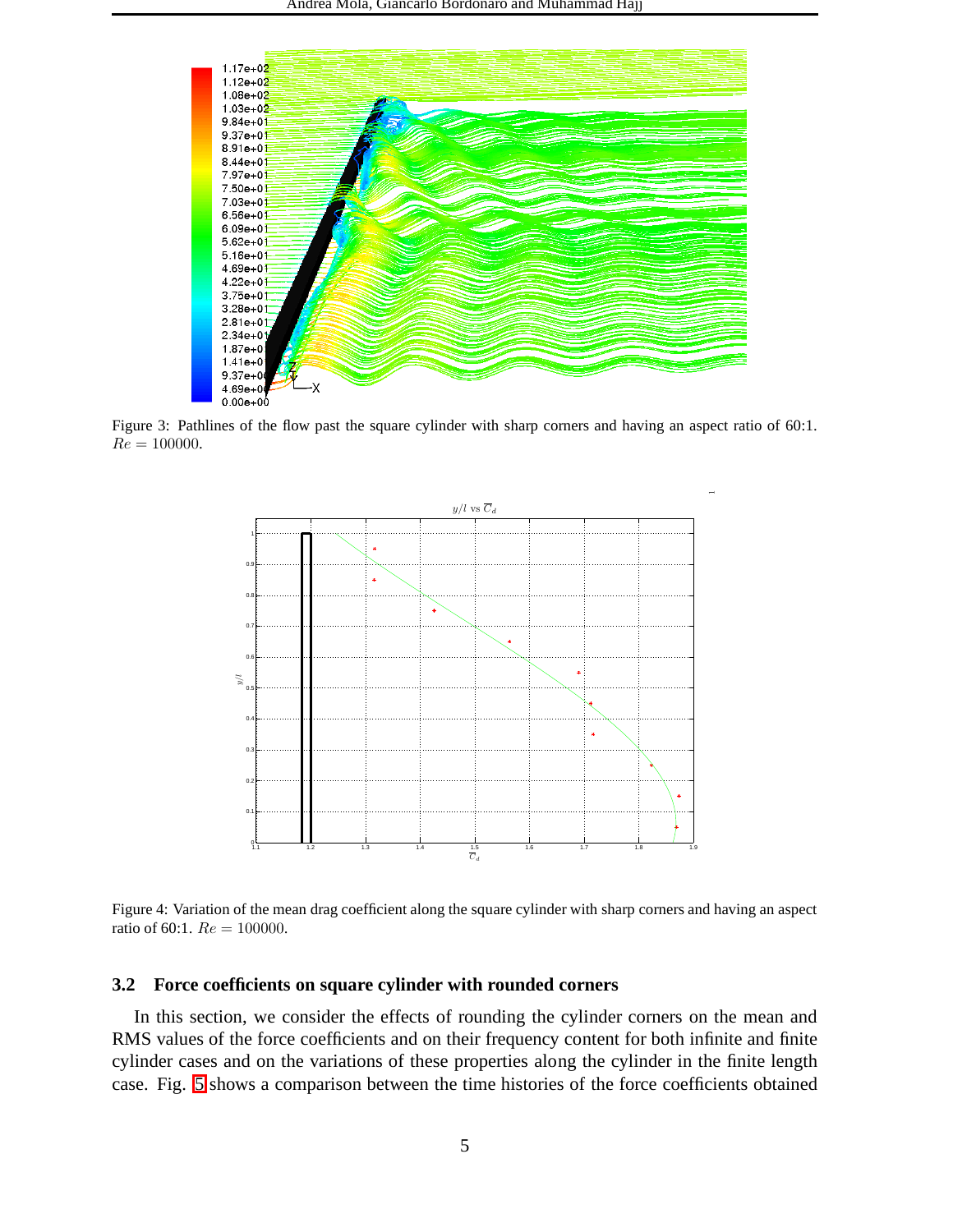

<span id="page-4-0"></span>Figure 3: Pathlines of the flow past the square cylinder with sharp corners and having an aspect ratio of 60:1.  $Re = 100000$ .



<span id="page-4-1"></span>Figure 4: Variation of the mean drag coefficient along the square cylinder with sharp corners and having an aspect ratio of 60:1.  $Re = 100000$ .

#### **3.2 Force coefficients on square cylinder with rounded corners**

In this section, we consider the effects of rounding the cylinder corners on the mean and RMS values of the force coefficients and on their frequency content for both infinite and finite cylinder cases and on the variations of these properties along the cylinder in the finite length case. Fig. [5](#page-5-0) shows a comparison between the time histories of the force coefficients obtained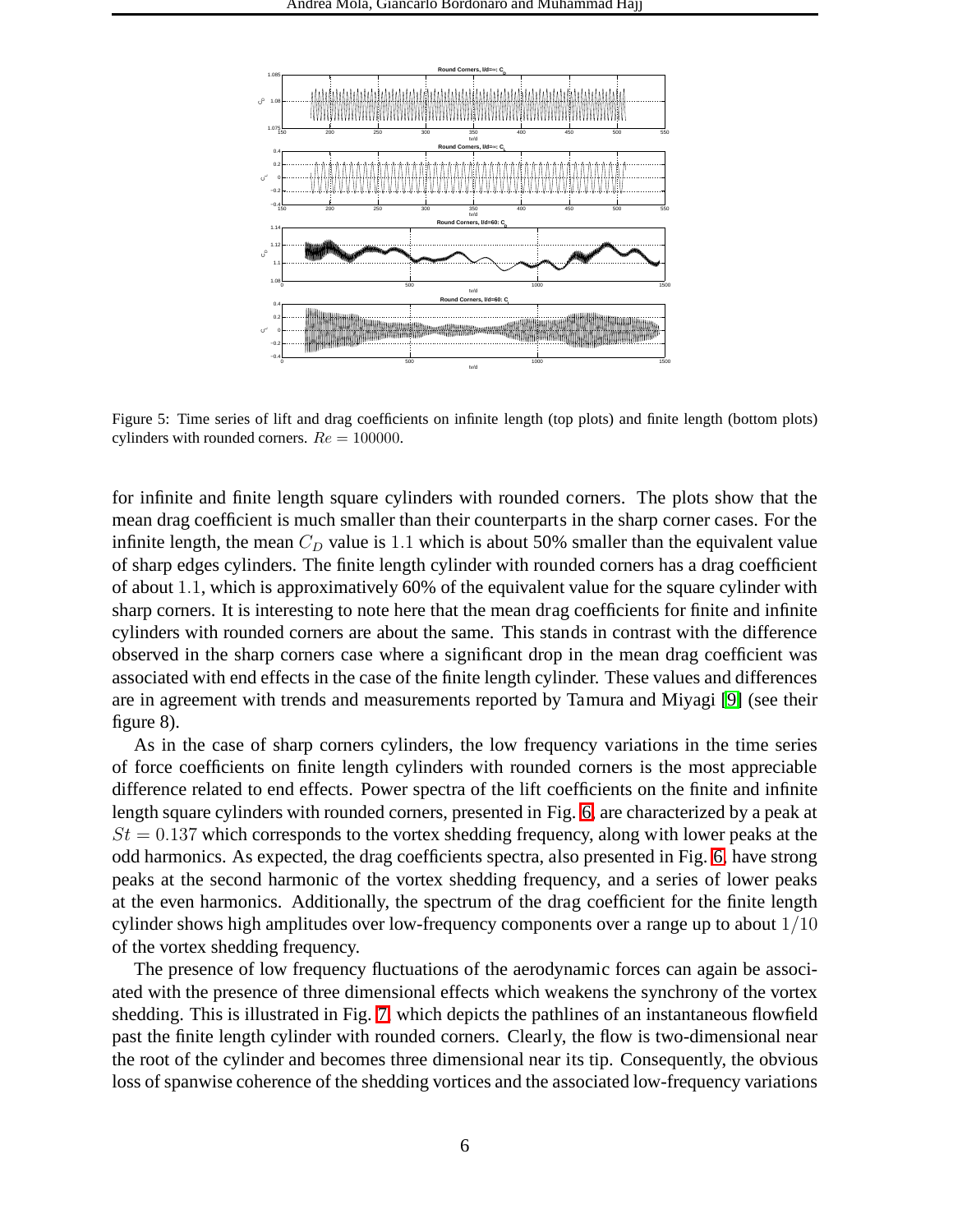

<span id="page-5-0"></span>Figure 5: Time series of lift and drag coefficients on infinite length (top plots) and finite length (bottom plots) cylinders with rounded corners.  $Re = 100000$ .

for infinite and finite length square cylinders with rounded corners. The plots show that the mean drag coefficient is much smaller than their counterparts in the sharp corner cases. For the infinite length, the mean  $C_D$  value is 1.1 which is about 50% smaller than the equivalent value of sharp edges cylinders. The finite length cylinder with rounded corners has a drag coefficient of about 1.1, which is approximatively 60% of the equivalent value for the square cylinder with sharp corners. It is interesting to note here that the mean drag coefficients for finite and infinite cylinders with rounded corners are about the same. This stands in contrast with the difference observed in the sharp corners case where a significant drop in the mean drag coefficient was associated with end effects in the case of the finite length cylinder. These values and differences are in agreement with trends and measurements reported by Tamura and Miyagi [\[9\]](#page-8-4) (see their figure 8).

As in the case of sharp corners cylinders, the low frequency variations in the time series of force coefficients on finite length cylinders with rounded corners is the most appreciable difference related to end effects. Power spectra of the lift coefficients on the finite and infinite length square cylinders with rounded corners, presented in Fig. [6,](#page-6-0) are characterized by a peak at  $St = 0.137$  which corresponds to the vortex shedding frequency, along with lower peaks at the odd harmonics. As expected, the drag coefficients spectra, also presented in Fig. [6,](#page-6-0) have strong peaks at the second harmonic of the vortex shedding frequency, and a series of lower peaks at the even harmonics. Additionally, the spectrum of the drag coefficient for the finite length cylinder shows high amplitudes over low-frequency components over a range up to about 1/10 of the vortex shedding frequency.

The presence of low frequency fluctuations of the aerodynamic forces can again be associated with the presence of three dimensional effects which weakens the synchrony of the vortex shedding. This is illustrated in Fig. [7,](#page-6-1) which depicts the pathlines of an instantaneous flowfield past the finite length cylinder with rounded corners. Clearly, the flow is two-dimensional near the root of the cylinder and becomes three dimensional near its tip. Consequently, the obvious loss of spanwise coherence of the shedding vortices and the associated low-frequency variations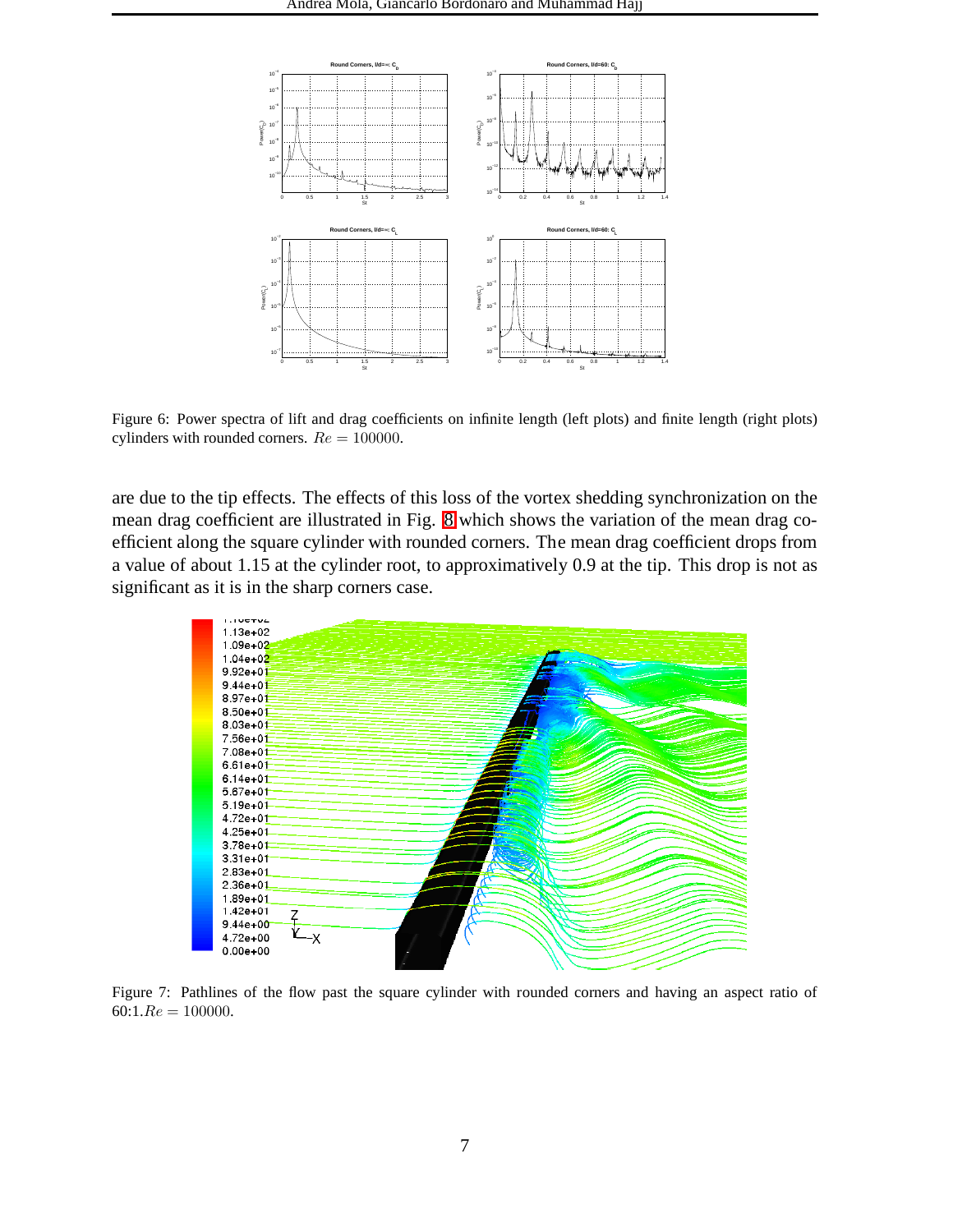

<span id="page-6-0"></span>Figure 6: Power spectra of lift and drag coefficients on infinite length (left plots) and finite length (right plots) cylinders with rounded corners.  $Re = 100000$ .

are due to the tip effects. The effects of this loss of the vortex shedding synchronization on the mean drag coefficient are illustrated in Fig. [8](#page-7-4) which shows the variation of the mean drag coefficient along the square cylinder with rounded corners. The mean drag coefficient drops from a value of about 1.15 at the cylinder root, to approximatively 0.9 at the tip. This drop is not as significant as it is in the sharp corners case.



<span id="page-6-1"></span>Figure 7: Pathlines of the flow past the square cylinder with rounded corners and having an aspect ratio of  $60:1.Re = 100000.$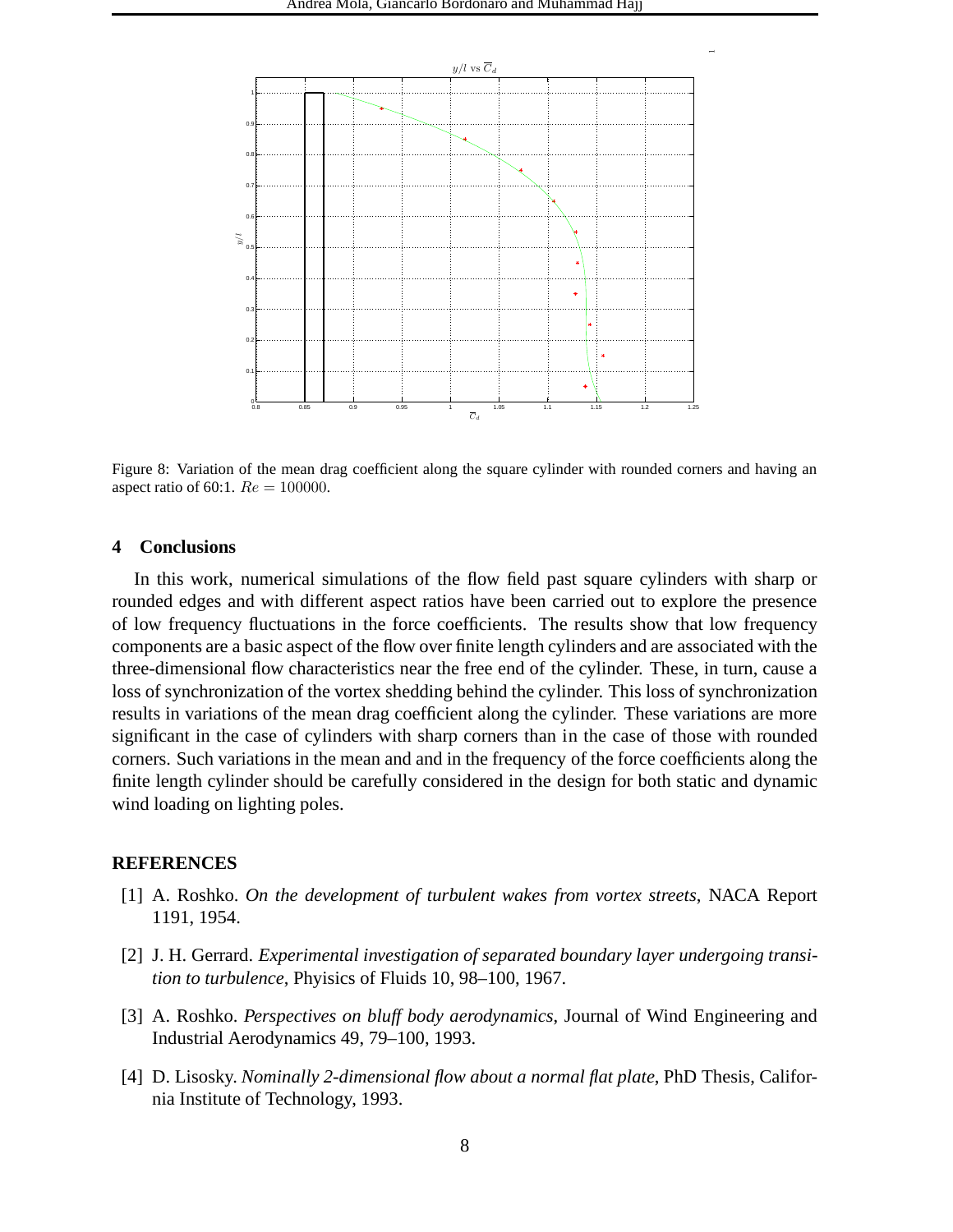

<span id="page-7-4"></span>Figure 8: Variation of the mean drag coefficient along the square cylinder with rounded corners and having an aspect ratio of 60:1.  $Re = 100000$ .

#### **4 Conclusions**

In this work, numerical simulations of the flow field past square cylinders with sharp or rounded edges and with different aspect ratios have been carried out to explore the presence of low frequency fluctuations in the force coefficients. The results show that low frequency components are a basic aspect of the flow over finite length cylinders and are associated with the three-dimensional flow characteristics near the free end of the cylinder. These, in turn, cause a loss of synchronization of the vortex shedding behind the cylinder. This loss of synchronization results in variations of the mean drag coefficient along the cylinder. These variations are more significant in the case of cylinders with sharp corners than in the case of those with rounded corners. Such variations in the mean and and in the frequency of the force coefficients along the finite length cylinder should be carefully considered in the design for both static and dynamic wind loading on lighting poles.

#### <span id="page-7-0"></span>**REFERENCES**

- <span id="page-7-1"></span>[1] A. Roshko. *On the development of turbulent wakes from vortex streets*, NACA Report 1191, 1954.
- [2] J. H. Gerrard. *Experimental investigation of separated boundary layer undergoing transition to turbulence*, Phyisics of Fluids 10, 98–100, 1967.
- <span id="page-7-2"></span>[3] A. Roshko. *Perspectives on bluff body aerodynamics*, Journal of Wind Engineering and Industrial Aerodynamics 49, 79–100, 1993.
- <span id="page-7-3"></span>[4] D. Lisosky. *Nominally 2-dimensional flow about a normal flat plate*, PhD Thesis, California Institute of Technology, 1993.